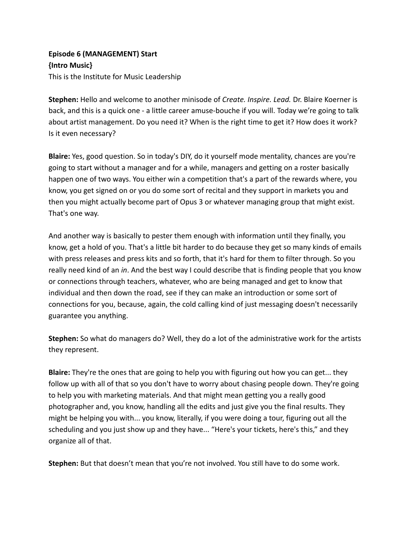## **Episode 6 (MANAGEMENT) Start {Intro Music}** This is the Institute for Music Leadership

**Stephen:** Hello and welcome to another minisode of *Create. Inspire. Lead.* Dr. Blaire Koerner is back, and this is a quick one - a little career amuse-bouche if you will. Today we're going to talk about artist management. Do you need it? When is the right time to get it? How does it work? Is it even necessary?

**Blaire:** Yes, good question. So in today's DIY, do it yourself mode mentality, chances are you're going to start without a manager and for a while, managers and getting on a roster basically happen one of two ways. You either win a competition that's a part of the rewards where, you know, you get signed on or you do some sort of recital and they support in markets you and then you might actually become part of Opus 3 or whatever managing group that might exist. That's one way.

And another way is basically to pester them enough with information until they finally, you know, get a hold of you. That's a little bit harder to do because they get so many kinds of emails with press releases and press kits and so forth, that it's hard for them to filter through. So you really need kind of an *in*. And the best way I could describe that is finding people that you know or connections through teachers, whatever, who are being managed and get to know that individual and then down the road, see if they can make an introduction or some sort of connections for you, because, again, the cold calling kind of just messaging doesn't necessarily guarantee you anything.

**Stephen:** So what do managers do? Well, they do a lot of the administrative work for the artists they represent.

**Blaire:** They're the ones that are going to help you with figuring out how you can get... they follow up with all of that so you don't have to worry about chasing people down. They're going to help you with marketing materials. And that might mean getting you a really good photographer and, you know, handling all the edits and just give you the final results. They might be helping you with... you know, literally, if you were doing a tour, figuring out all the scheduling and you just show up and they have... "Here's your tickets, here's this," and they organize all of that.

**Stephen:** But that doesn't mean that you're not involved. You still have to do some work.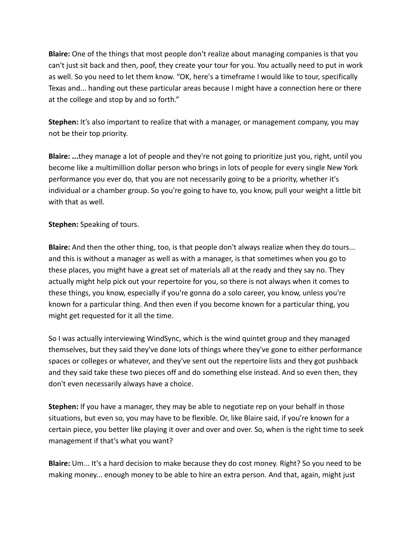**Blaire:** One of the things that most people don't realize about managing companies is that you can't just sit back and then, poof, they create your tour for you. You actually need to put in work as well. So you need to let them know. "OK, here's a timeframe I would like to tour, specifically Texas and... handing out these particular areas because I might have a connection here or there at the college and stop by and so forth."

**Stephen:** It's also important to realize that with a manager, or management company, you may not be their top priority.

**Blaire: ...**they manage a lot of people and they're not going to prioritize just you, right, until you become like a multimillion dollar person who brings in lots of people for every single New York performance you ever do, that you are not necessarily going to be a priority, whether it's individual or a chamber group. So you're going to have to, you know, pull your weight a little bit with that as well.

## **Stephen:** Speaking of tours.

**Blaire:** And then the other thing, too, is that people don't always realize when they do tours... and this is without a manager as well as with a manager, is that sometimes when you go to these places, you might have a great set of materials all at the ready and they say no. They actually might help pick out your repertoire for you, so there is not always when it comes to these things, you know, especially if you're gonna do a solo career, you know, unless you're known for a particular thing. And then even if you become known for a particular thing, you might get requested for it all the time.

So I was actually interviewing WindSync, which is the wind quintet group and they managed themselves, but they said they've done lots of things where they've gone to either performance spaces or colleges or whatever, and they've sent out the repertoire lists and they got pushback and they said take these two pieces off and do something else instead. And so even then, they don't even necessarily always have a choice.

**Stephen:** If you have a manager, they may be able to negotiate rep on your behalf in those situations, but even so, you may have to be flexible. Or, like Blaire said, if you're known for a certain piece, you better like playing it over and over and over. So, when is the right time to seek management if that's what you want?

**Blaire:** Um... It's a hard decision to make because they do cost money. Right? So you need to be making money... enough money to be able to hire an extra person. And that, again, might just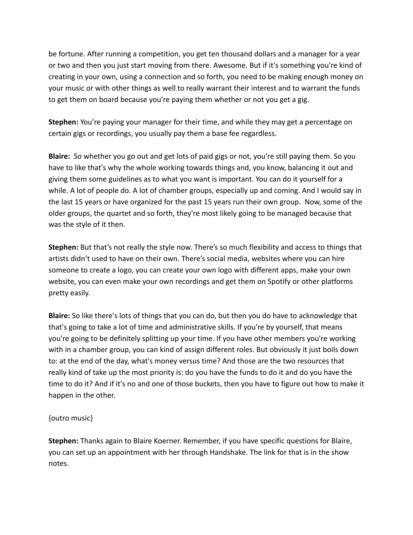be fortune. After running a competition, you get ten thousand dollars and a manager for a year or two and then you just start moving from there. Awesome. But if it's something you're kind of creating in your own, using a connection and so forth, you need to be making enough money on your music or with other things as well to really warrant their interest and to warrant the funds to get them on board because you're paying them whether or not you get a gig.

**Stephen:** You're paying your manager for their time, and while they may get a percentage on certain gigs or recordings, you usually pay them a base fee regardless.

**Blaire:** So whether you go out and get lots of paid gigs or not, you're still paying them. So you have to like that's why the whole working towards things and, you know, balancing it out and giving them some guidelines as to what you want is important. You can do it yourself for a while. A lot of people do. A lot of chamber groups, especially up and coming. And I would say in the last 15 years or have organized for the past 15 years run their own group. Now, some of the older groups, the quartet and so forth, they're most likely going to be managed because that was the style of it then.

**Stephen:** But that's not really the style now. There's so much flexibility and access to things that artists didn't used to have on their own. There's social media, websites where you can hire someone to create a logo, you can create your own logo with different apps, make your own website, you can even make your own recordings and get them on Spotify or other platforms pretty easily.

**Blaire:** So like there's lots of things that you can do, but then you do have to acknowledge that that's going to take a lot of time and administrative skills. If you're by yourself, that means you're going to be definitely splitting up your time. If you have other members you're working with in a chamber group, you can kind of assign different roles. But obviously it just boils down to: at the end of the day, what's money versus time? And those are the two resources that really kind of take up the most priority is: do you have the funds to do it and do you have the time to do it? And if it's no and one of those buckets, then you have to figure out how to make it happen in the other.

## {outro music}

**Stephen:** Thanks again to Blaire Koerner. Remember, if you have specific questions for Blaire, you can set up an appointment with her through Handshake. The link for that is in the show notes.